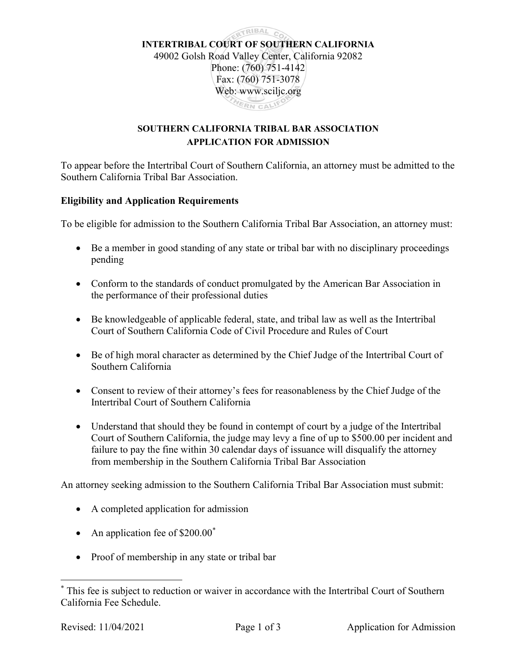

## SOUTHERN CALIFORNIA TRIBAL BAR ASSOCIATION APPLICATION FOR ADMISSION

To appear before the Intertribal Court of Southern California, an attorney must be admitted to the Southern California Tribal Bar Association.

## Eligibility and Application Requirements

To be eligible for admission to the Southern California Tribal Bar Association, an attorney must:

- Be a member in good standing of any state or tribal bar with no disciplinary proceedings pending
- Conform to the standards of conduct promulgated by the American Bar Association in the performance of their professional duties
- Be knowledgeable of applicable federal, state, and tribal law as well as the Intertribal Court of Southern California Code of Civil Procedure and Rules of Court
- Be of high moral character as determined by the Chief Judge of the Intertribal Court of Southern California
- Consent to review of their attorney's fees for reasonableness by the Chief Judge of the Intertribal Court of Southern California
- Understand that should they be found in contempt of court by a judge of the Intertribal Court of Southern California, the judge may levy a fine of up to \$500.00 per incident and failure to pay the fine within 30 calendar days of issuance will disqualify the attorney from membership in the Southern California Tribal Bar Association

An attorney seeking admission to the Southern California Tribal Bar Association must submit:

- A completed application for admission
- An application fee of  $$200.00^*$
- Proof of membership in any state or tribal bar

<sup>\*</sup> This fee is subject to reduction or waiver in accordance with the Intertribal Court of Southern California Fee Schedule.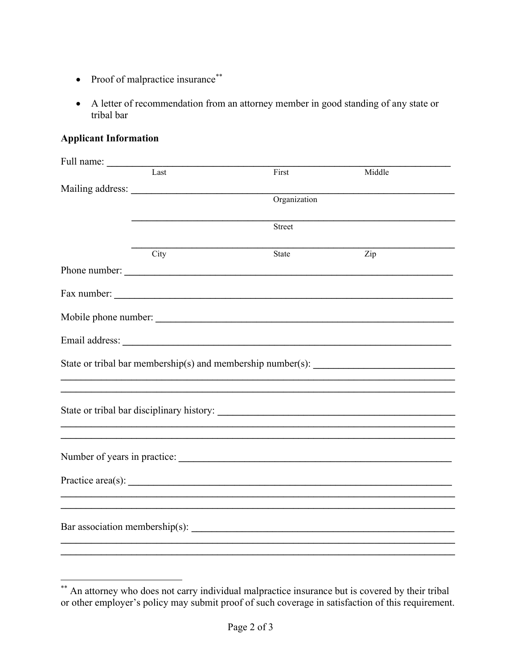- Proof of malpractice insurance  $*$
- A letter of recommendation from an attorney member in good standing of any state or tribal bar

## **Applicant Information**

| Full name:                                                                        |                  |                                                                                                                                                                                                                                      |        |  |  |
|-----------------------------------------------------------------------------------|------------------|--------------------------------------------------------------------------------------------------------------------------------------------------------------------------------------------------------------------------------------|--------|--|--|
|                                                                                   | Last             | First                                                                                                                                                                                                                                | Middle |  |  |
|                                                                                   | Mailing address: |                                                                                                                                                                                                                                      |        |  |  |
|                                                                                   |                  | Organization                                                                                                                                                                                                                         |        |  |  |
|                                                                                   |                  | Street                                                                                                                                                                                                                               |        |  |  |
|                                                                                   |                  |                                                                                                                                                                                                                                      |        |  |  |
|                                                                                   | City             | State                                                                                                                                                                                                                                | Zip    |  |  |
|                                                                                   | Phone number:    |                                                                                                                                                                                                                                      |        |  |  |
|                                                                                   |                  |                                                                                                                                                                                                                                      |        |  |  |
|                                                                                   |                  |                                                                                                                                                                                                                                      |        |  |  |
|                                                                                   |                  |                                                                                                                                                                                                                                      |        |  |  |
| State or tribal bar membership(s) and membership number(s): _____________________ |                  |                                                                                                                                                                                                                                      |        |  |  |
|                                                                                   |                  | ,我们也不会有什么。""我们的人,我们也不会有什么?""我们的人,我们也不会有什么?""我们的人,我们也不会有什么?""我们的人,我们也不会有什么?""我们的人                                                                                                                                                     |        |  |  |
|                                                                                   |                  |                                                                                                                                                                                                                                      |        |  |  |
|                                                                                   |                  |                                                                                                                                                                                                                                      |        |  |  |
|                                                                                   |                  |                                                                                                                                                                                                                                      |        |  |  |
|                                                                                   |                  | Practice area(s): <u>contract and the set of the set of the set of the set of the set of the set of the set of the set of the set of the set of the set of the set of the set of the set of the set of the set of the set of the</u> |        |  |  |
|                                                                                   |                  |                                                                                                                                                                                                                                      |        |  |  |
|                                                                                   |                  |                                                                                                                                                                                                                                      |        |  |  |
|                                                                                   |                  |                                                                                                                                                                                                                                      |        |  |  |
|                                                                                   |                  |                                                                                                                                                                                                                                      |        |  |  |

<sup>\*\*</sup> An attorney who does not carry individual malpractice insurance but is covered by their tribal or other employer's policy may submit proof of such coverage in satisfaction of this requirement.